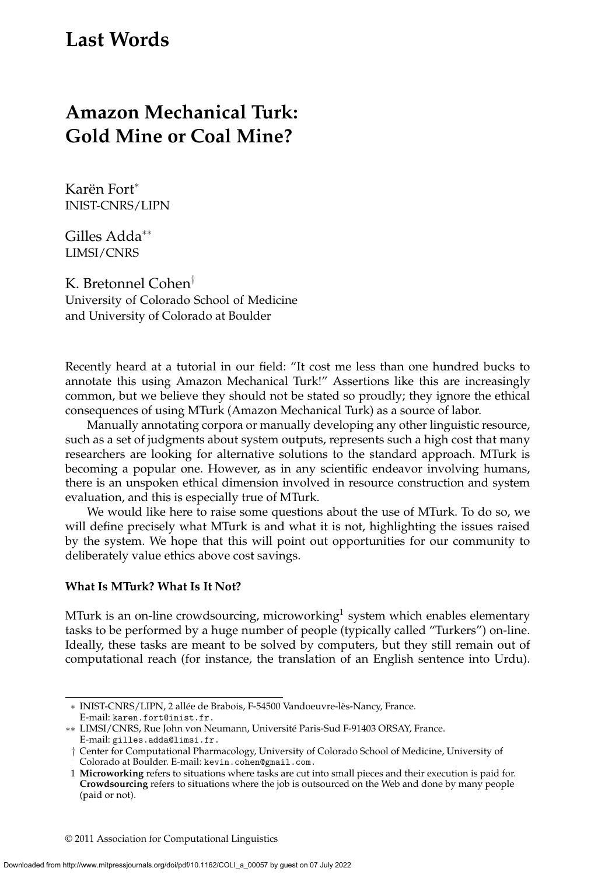## **Last Words**

# **Amazon Mechanical Turk: Gold Mine or Coal Mine?**

Karën Fort<sup>\*</sup> INIST-CNRS/LIPN

Gilles Adda∗∗ LIMSI/CNRS

K. Bretonnel Cohen† University of Colorado School of Medicine and University of Colorado at Boulder

Recently heard at a tutorial in our field: "It cost me less than one hundred bucks to annotate this using Amazon Mechanical Turk!" Assertions like this are increasingly common, but we believe they should not be stated so proudly; they ignore the ethical consequences of using MTurk (Amazon Mechanical Turk) as a source of labor.

Manually annotating corpora or manually developing any other linguistic resource, such as a set of judgments about system outputs, represents such a high cost that many researchers are looking for alternative solutions to the standard approach. MTurk is becoming a popular one. However, as in any scientific endeavor involving humans, there is an unspoken ethical dimension involved in resource construction and system evaluation, and this is especially true of MTurk.

We would like here to raise some questions about the use of MTurk. To do so, we will define precisely what MTurk is and what it is not, highlighting the issues raised by the system. We hope that this will point out opportunities for our community to deliberately value ethics above cost savings.

#### **What Is MTurk? What Is It Not?**

MTurk is an on-line crowdsourcing, microworking<sup>1</sup> system which enables elementary tasks to be performed by a huge number of people (typically called "Turkers") on-line. Ideally, these tasks are meant to be solved by computers, but they still remain out of computational reach (for instance, the translation of an English sentence into Urdu).

<sup>\*</sup> INIST-CNRS/LIPN, 2 allée de Brabois, F-54500 Vandoeuvre-lès-Nancy, France. E-mail: karen.fort@inist.fr.

<sup>∗∗</sup> LIMSI/CNRS, Rue John von Neumann, Universite Paris-Sud F-91403 ORSAY, France. ´ E-mail: gilles.adda@limsi.fr.

<sup>†</sup> Center for Computational Pharmacology, University of Colorado School of Medicine, University of Colorado at Boulder. E-mail: kevin.cohen@gmail.com.

<sup>1</sup> **Microworking** refers to situations where tasks are cut into small pieces and their execution is paid for. **Crowdsourcing** refers to situations where the job is outsourced on the Web and done by many people (paid or not).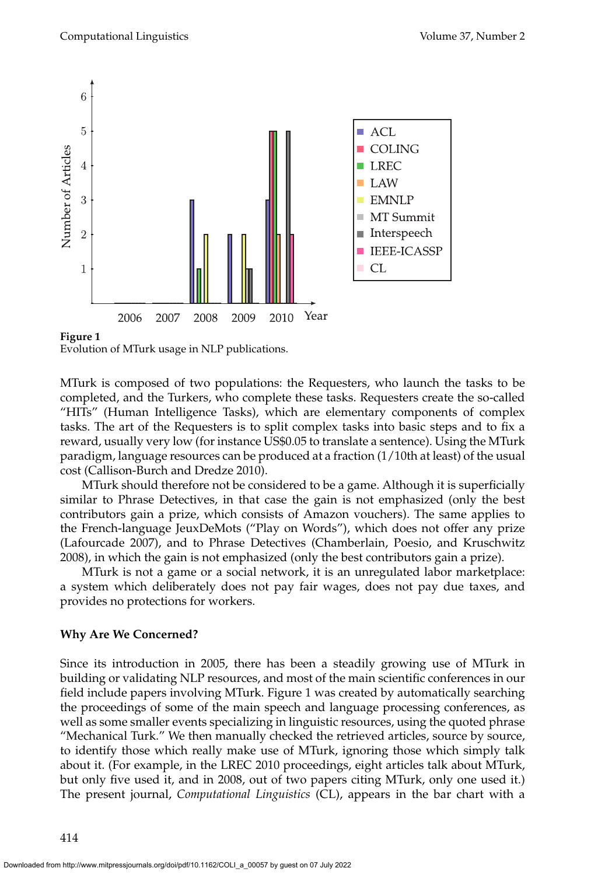

**Figure 1**

Evolution of MTurk usage in NLP publications.

MTurk is composed of two populations: the Requesters, who launch the tasks to be completed, and the Turkers, who complete these tasks. Requesters create the so-called "HITs" (Human Intelligence Tasks), which are elementary components of complex tasks. The art of the Requesters is to split complex tasks into basic steps and to fix a reward, usually very low (for instance US\$0.05 to translate a sentence). Using the MTurk paradigm, language resources can be produced at a fraction (1/10th at least) of the usual cost (Callison-Burch and Dredze 2010).

MTurk should therefore not be considered to be a game. Although it is superficially similar to Phrase Detectives, in that case the gain is not emphasized (only the best contributors gain a prize, which consists of Amazon vouchers). The same applies to the French-language JeuxDeMots ("Play on Words"), which does not offer any prize (Lafourcade 2007), and to Phrase Detectives (Chamberlain, Poesio, and Kruschwitz 2008), in which the gain is not emphasized (only the best contributors gain a prize).

MTurk is not a game or a social network, it is an unregulated labor marketplace: a system which deliberately does not pay fair wages, does not pay due taxes, and provides no protections for workers.

#### **Why Are We Concerned?**

Since its introduction in 2005, there has been a steadily growing use of MTurk in building or validating NLP resources, and most of the main scientific conferences in our field include papers involving MTurk. Figure 1 was created by automatically searching the proceedings of some of the main speech and language processing conferences, as well as some smaller events specializing in linguistic resources, using the quoted phrase "Mechanical Turk." We then manually checked the retrieved articles, source by source, to identify those which really make use of MTurk, ignoring those which simply talk about it. (For example, in the LREC 2010 proceedings, eight articles talk about MTurk, but only five used it, and in 2008, out of two papers citing MTurk, only one used it.) The present journal, *Computational Linguistics* (CL), appears in the bar chart with a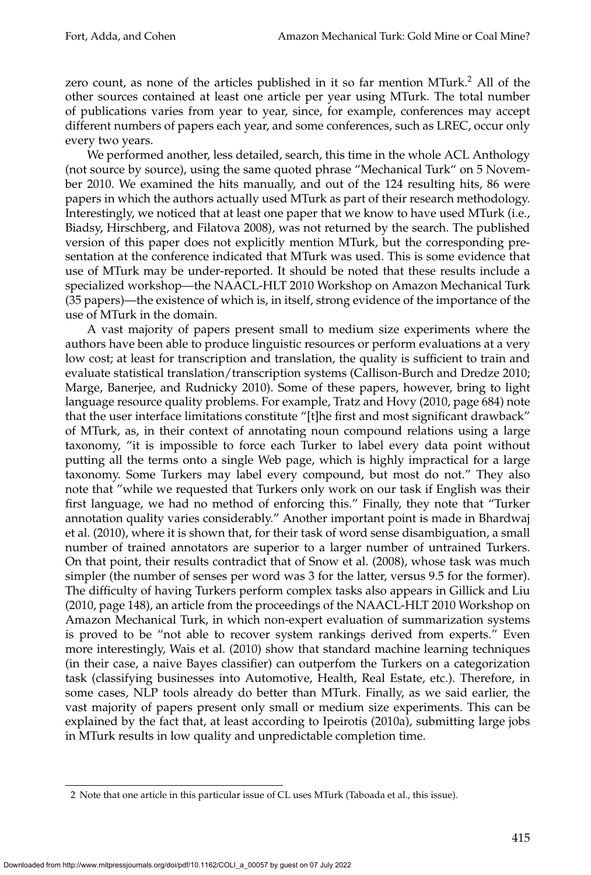zero count, as none of the articles published in it so far mention MTurk.<sup>2</sup> All of the other sources contained at least one article per year using MTurk. The total number of publications varies from year to year, since, for example, conferences may accept different numbers of papers each year, and some conferences, such as LREC, occur only every two years.

We performed another, less detailed, search, this time in the whole ACL Anthology (not source by source), using the same quoted phrase "Mechanical Turk" on 5 November 2010. We examined the hits manually, and out of the 124 resulting hits, 86 were papers in which the authors actually used MTurk as part of their research methodology. Interestingly, we noticed that at least one paper that we know to have used MTurk (i.e., Biadsy, Hirschberg, and Filatova 2008), was not returned by the search. The published version of this paper does not explicitly mention MTurk, but the corresponding presentation at the conference indicated that MTurk was used. This is some evidence that use of MTurk may be under-reported. It should be noted that these results include a specialized workshop—the NAACL-HLT 2010 Workshop on Amazon Mechanical Turk (35 papers)—the existence of which is, in itself, strong evidence of the importance of the use of MTurk in the domain.

A vast majority of papers present small to medium size experiments where the authors have been able to produce linguistic resources or perform evaluations at a very low cost; at least for transcription and translation, the quality is sufficient to train and evaluate statistical translation/transcription systems (Callison-Burch and Dredze 2010; Marge, Banerjee, and Rudnicky 2010). Some of these papers, however, bring to light language resource quality problems. For example, Tratz and Hovy (2010, page 684) note that the user interface limitations constitute "[t]he first and most significant drawback" of MTurk, as, in their context of annotating noun compound relations using a large taxonomy, "it is impossible to force each Turker to label every data point without putting all the terms onto a single Web page, which is highly impractical for a large taxonomy. Some Turkers may label every compound, but most do not." They also note that "while we requested that Turkers only work on our task if English was their first language, we had no method of enforcing this." Finally, they note that "Turker annotation quality varies considerably." Another important point is made in Bhardwaj et al. (2010), where it is shown that, for their task of word sense disambiguation, a small number of trained annotators are superior to a larger number of untrained Turkers. On that point, their results contradict that of Snow et al. (2008), whose task was much simpler (the number of senses per word was 3 for the latter, versus 9.5 for the former). The difficulty of having Turkers perform complex tasks also appears in Gillick and Liu (2010, page 148), an article from the proceedings of the NAACL-HLT 2010 Workshop on Amazon Mechanical Turk, in which non-expert evaluation of summarization systems is proved to be "not able to recover system rankings derived from experts." Even more interestingly, Wais et al. (2010) show that standard machine learning techniques (in their case, a naive Bayes classifier) can outperfom the Turkers on a categorization task (classifying businesses into Automotive, Health, Real Estate, etc.). Therefore, in some cases, NLP tools already do better than MTurk. Finally, as we said earlier, the vast majority of papers present only small or medium size experiments. This can be explained by the fact that, at least according to Ipeirotis (2010a), submitting large jobs in MTurk results in low quality and unpredictable completion time.

<sup>2</sup> Note that one article in this particular issue of CL uses MTurk (Taboada et al., this issue).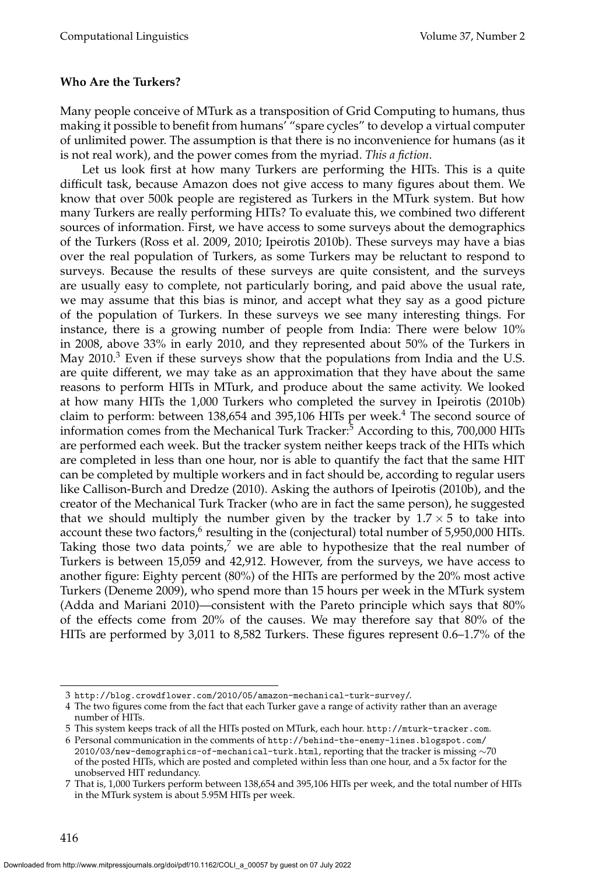#### **Who Are the Turkers?**

Many people conceive of MTurk as a transposition of Grid Computing to humans, thus making it possible to benefit from humans' "spare cycles" to develop a virtual computer of unlimited power. The assumption is that there is no inconvenience for humans (as it is not real work), and the power comes from the myriad. *This a fiction*.

Let us look first at how many Turkers are performing the HITs. This is a quite difficult task, because Amazon does not give access to many figures about them. We know that over 500k people are registered as Turkers in the MTurk system. But how many Turkers are really performing HITs? To evaluate this, we combined two different sources of information. First, we have access to some surveys about the demographics of the Turkers (Ross et al. 2009, 2010; Ipeirotis 2010b). These surveys may have a bias over the real population of Turkers, as some Turkers may be reluctant to respond to surveys. Because the results of these surveys are quite consistent, and the surveys are usually easy to complete, not particularly boring, and paid above the usual rate, we may assume that this bias is minor, and accept what they say as a good picture of the population of Turkers. In these surveys we see many interesting things. For instance, there is a growing number of people from India: There were below 10% in 2008, above 33% in early 2010, and they represented about 50% of the Turkers in May 2010.<sup>3</sup> Even if these surveys show that the populations from India and the U.S. are quite different, we may take as an approximation that they have about the same reasons to perform HITs in MTurk, and produce about the same activity. We looked at how many HITs the 1,000 Turkers who completed the survey in Ipeirotis (2010b) claim to perform: between 138,654 and 395,106 HITs per week.<sup>4</sup> The second source of information comes from the Mechanical Turk Tracker:<sup>5</sup> According to this, 700,000 HITs are performed each week. But the tracker system neither keeps track of the HITs which are completed in less than one hour, nor is able to quantify the fact that the same HIT can be completed by multiple workers and in fact should be, according to regular users like Callison-Burch and Dredze (2010). Asking the authors of Ipeirotis (2010b), and the creator of the Mechanical Turk Tracker (who are in fact the same person), he suggested that we should multiply the number given by the tracker by  $1.7 \times 5$  to take into account these two factors, $6$  resulting in the (conjectural) total number of  $5,950,000$  HITs. Taking those two data points,<sup>7</sup> we are able to hypothesize that the real number of Turkers is between 15,059 and 42,912. However, from the surveys, we have access to another figure: Eighty percent (80%) of the HITs are performed by the 20% most active Turkers (Deneme 2009), who spend more than 15 hours per week in the MTurk system (Adda and Mariani 2010)—consistent with the Pareto principle which says that 80% of the effects come from 20% of the causes. We may therefore say that 80% of the HITs are performed by 3,011 to 8,582 Turkers. These figures represent 0.6–1.7% of the

<sup>3</sup> http://blog.crowdflower.com/2010/05/amazon-mechanical-turk-survey/.

<sup>4</sup> The two figures come from the fact that each Turker gave a range of activity rather than an average number of HITs.

<sup>5</sup> This system keeps track of all the HITs posted on MTurk, each hour. http://mturk-tracker.com.

<sup>6</sup> Personal communication in the comments of http://behind-the-enemy-lines.blogspot.com/ 2010/03/new-demographics-of-mechanical-turk.html, reporting that the tracker is missing ∼70 of the posted HITs, which are posted and completed within less than one hour, and a 5x factor for the unobserved HIT redundancy.

<sup>7</sup> That is, 1,000 Turkers perform between 138,654 and 395,106 HITs per week, and the total number of HITs in the MTurk system is about 5.95M HITs per week.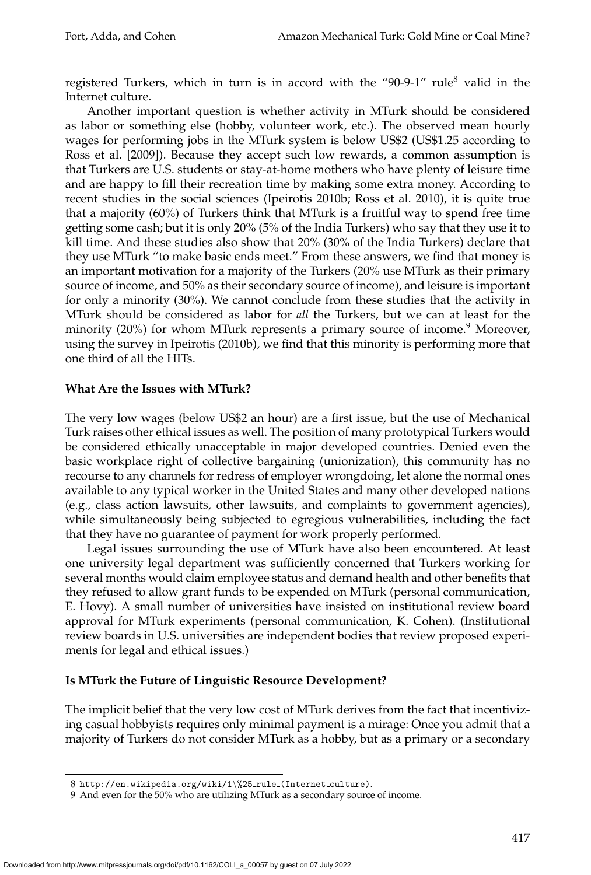registered Turkers, which in turn is in accord with the "90-9-1" rule<sup>8</sup> valid in the Internet culture.

Another important question is whether activity in MTurk should be considered as labor or something else (hobby, volunteer work, etc.). The observed mean hourly wages for performing jobs in the MTurk system is below US\$2 (US\$1.25 according to Ross et al. [2009]). Because they accept such low rewards, a common assumption is that Turkers are U.S. students or stay-at-home mothers who have plenty of leisure time and are happy to fill their recreation time by making some extra money. According to recent studies in the social sciences (Ipeirotis 2010b; Ross et al. 2010), it is quite true that a majority (60%) of Turkers think that MTurk is a fruitful way to spend free time getting some cash; but it is only 20% (5% of the India Turkers) who say that they use it to kill time. And these studies also show that 20% (30% of the India Turkers) declare that they use MTurk "to make basic ends meet." From these answers, we find that money is an important motivation for a majority of the Turkers (20% use MTurk as their primary source of income, and 50% as their secondary source of income), and leisure is important for only a minority (30%). We cannot conclude from these studies that the activity in MTurk should be considered as labor for *all* the Turkers, but we can at least for the minority (20%) for whom MTurk represents a primary source of income.<sup>9</sup> Moreover, using the survey in Ipeirotis (2010b), we find that this minority is performing more that one third of all the HITs.

#### **What Are the Issues with MTurk?**

The very low wages (below US\$2 an hour) are a first issue, but the use of Mechanical Turk raises other ethical issues as well. The position of many prototypical Turkers would be considered ethically unacceptable in major developed countries. Denied even the basic workplace right of collective bargaining (unionization), this community has no recourse to any channels for redress of employer wrongdoing, let alone the normal ones available to any typical worker in the United States and many other developed nations (e.g., class action lawsuits, other lawsuits, and complaints to government agencies), while simultaneously being subjected to egregious vulnerabilities, including the fact that they have no guarantee of payment for work properly performed.

Legal issues surrounding the use of MTurk have also been encountered. At least one university legal department was sufficiently concerned that Turkers working for several months would claim employee status and demand health and other benefits that they refused to allow grant funds to be expended on MTurk (personal communication, E. Hovy). A small number of universities have insisted on institutional review board approval for MTurk experiments (personal communication, K. Cohen). (Institutional review boards in U.S. universities are independent bodies that review proposed experiments for legal and ethical issues.)

#### **Is MTurk the Future of Linguistic Resource Development?**

The implicit belief that the very low cost of MTurk derives from the fact that incentivizing casual hobbyists requires only minimal payment is a mirage: Once you admit that a majority of Turkers do not consider MTurk as a hobby, but as a primary or a secondary

<sup>8</sup> http://en.wikipedia.org/wiki/1\%25 rule (Internet culture).

<sup>9</sup> And even for the 50% who are utilizing MTurk as a secondary source of income.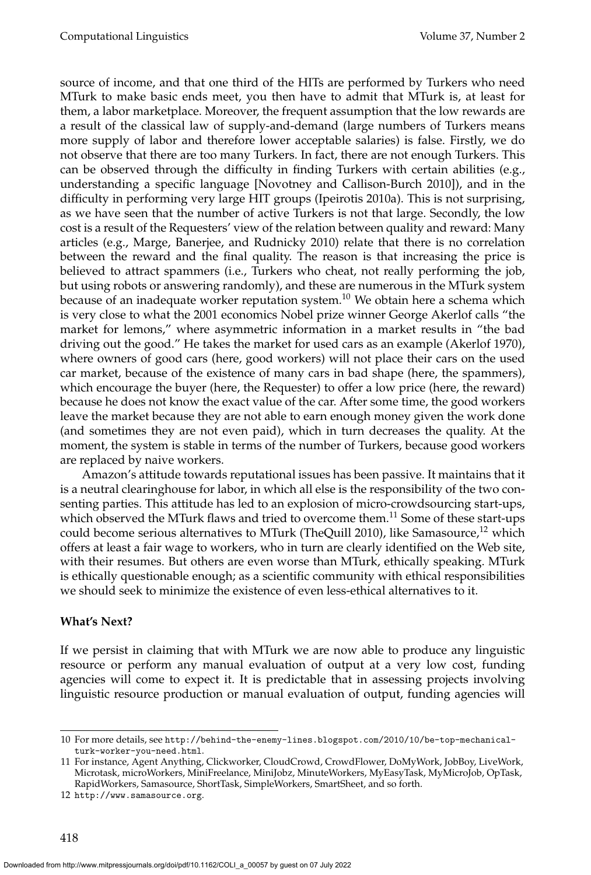source of income, and that one third of the HITs are performed by Turkers who need MTurk to make basic ends meet, you then have to admit that MTurk is, at least for them, a labor marketplace. Moreover, the frequent assumption that the low rewards are a result of the classical law of supply-and-demand (large numbers of Turkers means more supply of labor and therefore lower acceptable salaries) is false. Firstly, we do not observe that there are too many Turkers. In fact, there are not enough Turkers. This can be observed through the difficulty in finding Turkers with certain abilities (e.g., understanding a specific language [Novotney and Callison-Burch 2010]), and in the difficulty in performing very large HIT groups (Ipeirotis 2010a). This is not surprising, as we have seen that the number of active Turkers is not that large. Secondly, the low cost is a result of the Requesters' view of the relation between quality and reward: Many articles (e.g., Marge, Banerjee, and Rudnicky 2010) relate that there is no correlation between the reward and the final quality. The reason is that increasing the price is believed to attract spammers (i.e., Turkers who cheat, not really performing the job, but using robots or answering randomly), and these are numerous in the MTurk system because of an inadequate worker reputation system.<sup>10</sup> We obtain here a schema which is very close to what the 2001 economics Nobel prize winner George Akerlof calls "the market for lemons," where asymmetric information in a market results in "the bad driving out the good." He takes the market for used cars as an example (Akerlof 1970), where owners of good cars (here, good workers) will not place their cars on the used car market, because of the existence of many cars in bad shape (here, the spammers), which encourage the buyer (here, the Requester) to offer a low price (here, the reward) because he does not know the exact value of the car. After some time, the good workers leave the market because they are not able to earn enough money given the work done (and sometimes they are not even paid), which in turn decreases the quality. At the moment, the system is stable in terms of the number of Turkers, because good workers are replaced by naive workers.

Amazon's attitude towards reputational issues has been passive. It maintains that it is a neutral clearinghouse for labor, in which all else is the responsibility of the two consenting parties. This attitude has led to an explosion of micro-crowdsourcing start-ups, which observed the MTurk flaws and tried to overcome them.<sup>11</sup> Some of these start-ups could become serious alternatives to MTurk (TheQuill 2010), like Samasource,<sup>12</sup> which offers at least a fair wage to workers, who in turn are clearly identified on the Web site, with their resumes. But others are even worse than MTurk, ethically speaking. MTurk is ethically questionable enough; as a scientific community with ethical responsibilities we should seek to minimize the existence of even less-ethical alternatives to it.

#### **What's Next?**

If we persist in claiming that with MTurk we are now able to produce any linguistic resource or perform any manual evaluation of output at a very low cost, funding agencies will come to expect it. It is predictable that in assessing projects involving linguistic resource production or manual evaluation of output, funding agencies will

<sup>10</sup> For more details, see http://behind-the-enemy-lines.blogspot.com/2010/10/be-top-mechanicalturk-worker-you-need.html.

<sup>11</sup> For instance, Agent Anything, Clickworker, CloudCrowd, CrowdFlower, DoMyWork, JobBoy, LiveWork, Microtask, microWorkers, MiniFreelance, MiniJobz, MinuteWorkers, MyEasyTask, MyMicroJob, OpTask, RapidWorkers, Samasource, ShortTask, SimpleWorkers, SmartSheet, and so forth.

<sup>12</sup> http://www.samasource.org.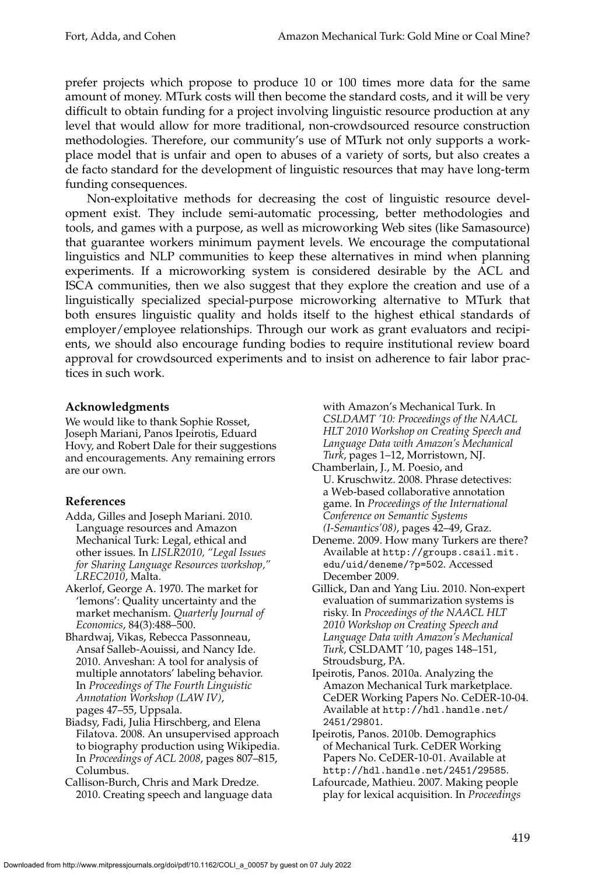prefer projects which propose to produce 10 or 100 times more data for the same amount of money. MTurk costs will then become the standard costs, and it will be very difficult to obtain funding for a project involving linguistic resource production at any level that would allow for more traditional, non-crowdsourced resource construction methodologies. Therefore, our community's use of MTurk not only supports a workplace model that is unfair and open to abuses of a variety of sorts, but also creates a de facto standard for the development of linguistic resources that may have long-term funding consequences.

Non-exploitative methods for decreasing the cost of linguistic resource development exist. They include semi-automatic processing, better methodologies and tools, and games with a purpose, as well as microworking Web sites (like Samasource) that guarantee workers minimum payment levels. We encourage the computational linguistics and NLP communities to keep these alternatives in mind when planning experiments. If a microworking system is considered desirable by the ACL and ISCA communities, then we also suggest that they explore the creation and use of a linguistically specialized special-purpose microworking alternative to MTurk that both ensures linguistic quality and holds itself to the highest ethical standards of employer/employee relationships. Through our work as grant evaluators and recipients, we should also encourage funding bodies to require institutional review board approval for crowdsourced experiments and to insist on adherence to fair labor practices in such work.

#### **Acknowledgments**

We would like to thank Sophie Rosset, Joseph Mariani, Panos Ipeirotis, Eduard Hovy, and Robert Dale for their suggestions and encouragements. Any remaining errors are our own.

### **References**

- Adda, Gilles and Joseph Mariani. 2010. Language resources and Amazon Mechanical Turk: Legal, ethical and other issues. In *LISLR2010, "Legal Issues for Sharing Language Resources workshop," LREC2010*, Malta.
- Akerlof, George A. 1970. The market for 'lemons': Quality uncertainty and the market mechanism. *Quarterly Journal of Economics*, 84(3):488–500.
- Bhardwaj, Vikas, Rebecca Passonneau, Ansaf Salleb-Aouissi, and Nancy Ide. 2010. Anveshan: A tool for analysis of multiple annotators' labeling behavior. In *Proceedings of The Fourth Linguistic Annotation Workshop (LAW IV)*, pages 47–55, Uppsala.
- Biadsy, Fadi, Julia Hirschberg, and Elena Filatova. 2008. An unsupervised approach to biography production using Wikipedia. In *Proceedings of ACL 2008*, pages 807–815, Columbus.
- Callison-Burch, Chris and Mark Dredze. 2010. Creating speech and language data

with Amazon's Mechanical Turk. In *CSLDAMT '10: Proceedings of the NAACL HLT 2010 Workshop on Creating Speech and Language Data with Amazon's Mechanical Turk*, pages 1–12, Morristown, NJ.

- Chamberlain, J., M. Poesio, and U. Kruschwitz. 2008. Phrase detectives: a Web-based collaborative annotation game. In *Proceedings of the International Conference on Semantic Systems (I-Semantics'08)*, pages 42–49, Graz.
- Deneme. 2009. How many Turkers are there? Available at http://groups.csail.mit. edu/uid/deneme/?p=502. Accessed December 2009.
- Gillick, Dan and Yang Liu. 2010. Non-expert evaluation of summarization systems is risky. In *Proceedings of the NAACL HLT 2010 Workshop on Creating Speech and Language Data with Amazon's Mechanical Turk*, CSLDAMT '10, pages 148–151, Stroudsburg, PA.
- Ipeirotis, Panos. 2010a. Analyzing the Amazon Mechanical Turk marketplace. CeDER Working Papers No. CeDER-10-04. Available at http://hdl.handle.net/ 2451/29801.
- Ipeirotis, Panos. 2010b. Demographics of Mechanical Turk. CeDER Working Papers No. CeDER-10-01. Available at http://hdl.handle.net/2451/29585.
- Lafourcade, Mathieu. 2007. Making people play for lexical acquisition. In *Proceedings*